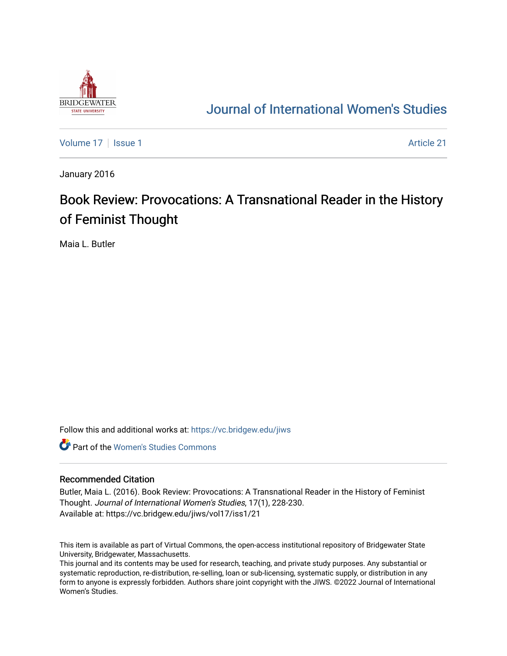

## [Journal of International Women's Studies](https://vc.bridgew.edu/jiws)

[Volume 17](https://vc.bridgew.edu/jiws/vol17) | [Issue 1](https://vc.bridgew.edu/jiws/vol17/iss1) Article 21

January 2016

# Book Review: Provocations: A Transnational Reader in the History of Feminist Thought

Maia L. Butler

Follow this and additional works at: [https://vc.bridgew.edu/jiws](https://vc.bridgew.edu/jiws?utm_source=vc.bridgew.edu%2Fjiws%2Fvol17%2Fiss1%2F21&utm_medium=PDF&utm_campaign=PDFCoverPages)

**C** Part of the Women's Studies Commons

### Recommended Citation

Butler, Maia L. (2016). Book Review: Provocations: A Transnational Reader in the History of Feminist Thought. Journal of International Women's Studies, 17(1), 228-230. Available at: https://vc.bridgew.edu/jiws/vol17/iss1/21

This item is available as part of Virtual Commons, the open-access institutional repository of Bridgewater State University, Bridgewater, Massachusetts.

This journal and its contents may be used for research, teaching, and private study purposes. Any substantial or systematic reproduction, re-distribution, re-selling, loan or sub-licensing, systematic supply, or distribution in any form to anyone is expressly forbidden. Authors share joint copyright with the JIWS. ©2022 Journal of International Women's Studies.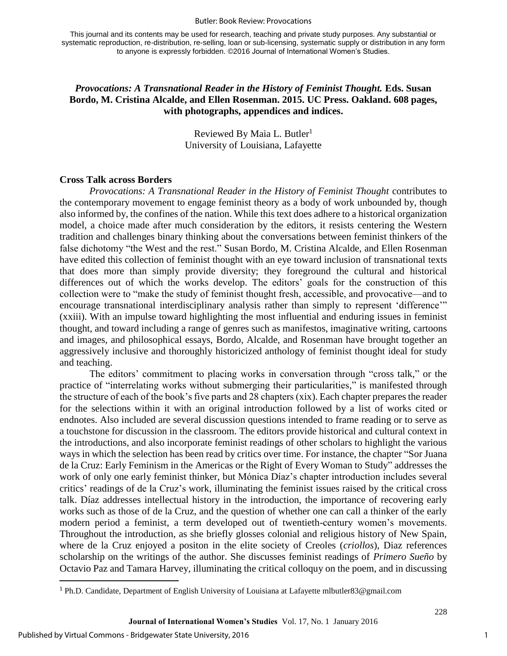#### Butler: Book Review: Provocations

This journal and its contents may be used for research, teaching and private study purposes. Any substantial or systematic reproduction, re-distribution, re-selling, loan or sub-licensing, systematic supply or distribution in any form to anyone is expressly forbidden. ©2016 Journal of International Women's Studies.

## *Provocations: A Transnational Reader in the History of Feminist Thought.* **Eds. Susan Bordo, M. Cristina Alcalde, and Ellen Rosenman. 2015. UC Press. Oakland. 608 pages, with photographs, appendices and indices.**

Reviewed By Maia L. Butler<sup>1</sup> University of Louisiana, Lafayette

## **Cross Talk across Borders**

*Provocations: A Transnational Reader in the History of Feminist Thought* contributes to the contemporary movement to engage feminist theory as a body of work unbounded by, though also informed by, the confines of the nation. While this text does adhere to a historical organization model, a choice made after much consideration by the editors, it resists centering the Western tradition and challenges binary thinking about the conversations between feminist thinkers of the false dichotomy "the West and the rest." Susan Bordo, M. Cristina Alcalde, and Ellen Rosenman have edited this collection of feminist thought with an eye toward inclusion of transnational texts that does more than simply provide diversity; they foreground the cultural and historical differences out of which the works develop. The editors' goals for the construction of this collection were to "make the study of feminist thought fresh, accessible, and provocative—and to encourage transnational interdisciplinary analysis rather than simply to represent 'difference'" (xxiii). With an impulse toward highlighting the most influential and enduring issues in feminist thought, and toward including a range of genres such as manifestos, imaginative writing, cartoons and images, and philosophical essays, Bordo, Alcalde, and Rosenman have brought together an aggressively inclusive and thoroughly historicized anthology of feminist thought ideal for study and teaching.

The editors' commitment to placing works in conversation through "cross talk," or the practice of "interrelating works without submerging their particularities," is manifested through the structure of each of the book's five parts and 28 chapters (xix). Each chapter prepares the reader for the selections within it with an original introduction followed by a list of works cited or endnotes. Also included are several discussion questions intended to frame reading or to serve as a touchstone for discussion in the classroom. The editors provide historical and cultural context in the introductions, and also incorporate feminist readings of other scholars to highlight the various ways in which the selection has been read by critics over time. For instance, the chapter "Sor Juana de la Cruz: Early Feminism in the Americas or the Right of Every Woman to Study" addresses the work of only one early feminist thinker, but Mónica Díaz's chapter introduction includes several critics' readings of de la Cruz's work, illuminating the feminist issues raised by the critical cross talk. Díaz addresses intellectual history in the introduction, the importance of recovering early works such as those of de la Cruz, and the question of whether one can call a thinker of the early modern period a feminist, a term developed out of twentieth-century women's movements. Throughout the introduction, as she briefly glosses colonial and religious history of New Spain, where de la Cruz enjoyed a positon in the elite society of Creoles (*criollos*), Diaz references scholarship on the writings of the author. She discusses feminist readings of *Primero Sueño* by Octavio Paz and Tamara Harvey, illuminating the critical colloquy on the poem, and in discussing

 $\overline{\phantom{a}}$ 

228

<sup>1</sup> Ph.D. Candidate, Department of English University of Louisiana at Lafayette mlbutler83@gmail.com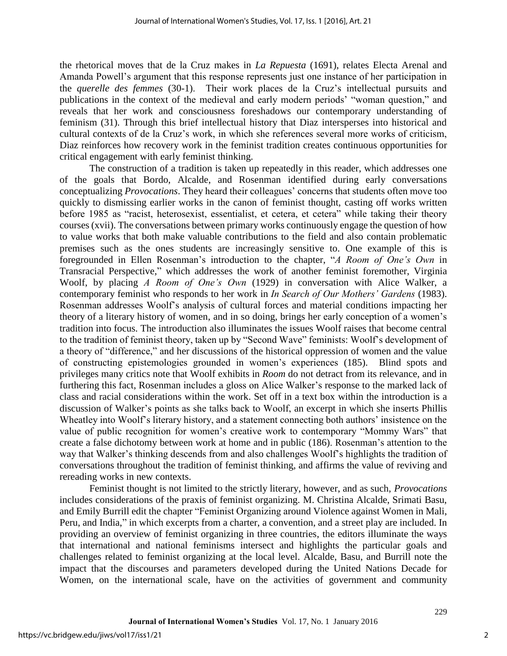the rhetorical moves that de la Cruz makes in *La Repuesta* (1691), relates Electa Arenal and Amanda Powell's argument that this response represents just one instance of her participation in the *querelle des femmes* (30-1). Their work places de la Cruz's intellectual pursuits and publications in the context of the medieval and early modern periods' "woman question," and reveals that her work and consciousness foreshadows our contemporary understanding of feminism (31). Through this brief intellectual history that Diaz intersperses into historical and cultural contexts of de la Cruz's work, in which she references several more works of criticism, Diaz reinforces how recovery work in the feminist tradition creates continuous opportunities for critical engagement with early feminist thinking.

The construction of a tradition is taken up repeatedly in this reader, which addresses one of the goals that Bordo, Alcalde, and Rosenman identified during early conversations conceptualizing *Provocations*. They heard their colleagues' concerns that students often move too quickly to dismissing earlier works in the canon of feminist thought, casting off works written before 1985 as "racist, heterosexist, essentialist, et cetera, et cetera" while taking their theory courses (xvii). The conversations between primary works continuously engage the question of how to value works that both make valuable contributions to the field and also contain problematic premises such as the ones students are increasingly sensitive to. One example of this is foregrounded in Ellen Rosenman's introduction to the chapter, "*A Room of One's Own* in Transracial Perspective," which addresses the work of another feminist foremother, Virginia Woolf, by placing *A Room of One's Own* (1929) in conversation with Alice Walker, a contemporary feminist who responds to her work in *In Search of Our Mothers' Gardens* (1983). Rosenman addresses Woolf's analysis of cultural forces and material conditions impacting her theory of a literary history of women, and in so doing, brings her early conception of a women's tradition into focus. The introduction also illuminates the issues Woolf raises that become central to the tradition of feminist theory, taken up by "Second Wave" feminists: Woolf's development of a theory of "difference," and her discussions of the historical oppression of women and the value of constructing epistemologies grounded in women's experiences (185). Blind spots and privileges many critics note that Woolf exhibits in *Room* do not detract from its relevance, and in furthering this fact, Rosenman includes a gloss on Alice Walker's response to the marked lack of class and racial considerations within the work. Set off in a text box within the introduction is a discussion of Walker's points as she talks back to Woolf, an excerpt in which she inserts Phillis Wheatley into Woolf's literary history, and a statement connecting both authors' insistence on the value of public recognition for women's creative work to contemporary "Mommy Wars" that create a false dichotomy between work at home and in public (186). Rosenman's attention to the way that Walker's thinking descends from and also challenges Woolf's highlights the tradition of conversations throughout the tradition of feminist thinking, and affirms the value of reviving and rereading works in new contexts.

Feminist thought is not limited to the strictly literary, however, and as such, *Provocations* includes considerations of the praxis of feminist organizing. M. Christina Alcalde, Srimati Basu, and Emily Burrill edit the chapter "Feminist Organizing around Violence against Women in Mali, Peru, and India," in which excerpts from a charter, a convention, and a street play are included. In providing an overview of feminist organizing in three countries, the editors illuminate the ways that international and national feminisms intersect and highlights the particular goals and challenges related to feminist organizing at the local level. Alcalde, Basu, and Burrill note the impact that the discourses and parameters developed during the United Nations Decade for Women, on the international scale, have on the activities of government and community

229